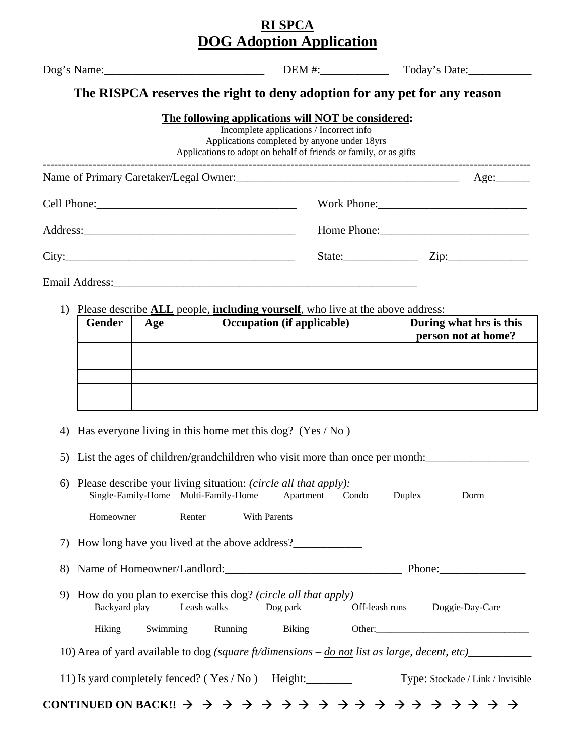## **RI SPCA DOG Adoption Application**

|               | $\text{Deg}'\text{s Name:}\_$                                                                                           |                                                                                          | Today's Date:                                  |
|---------------|-------------------------------------------------------------------------------------------------------------------------|------------------------------------------------------------------------------------------|------------------------------------------------|
|               | The RISPCA reserves the right to deny adoption for any pet for any reason                                               |                                                                                          |                                                |
|               | The following applications will NOT be considered:<br>Applications to adopt on behalf of friends or family, or as gifts | Incomplete applications / Incorrect info<br>Applications completed by anyone under 18yrs |                                                |
|               |                                                                                                                         |                                                                                          |                                                |
|               |                                                                                                                         |                                                                                          | Work Phone:                                    |
|               |                                                                                                                         |                                                                                          | Home Phone:                                    |
|               | City:                                                                                                                   |                                                                                          | State: $\qquad \qquad \text{Zip:}$             |
|               |                                                                                                                         |                                                                                          |                                                |
|               | 1) Please describe <b>ALL</b> people, <b>including yourself</b> , who live at the above address:                        |                                                                                          |                                                |
| <b>Gender</b> | Age                                                                                                                     | <b>Occupation</b> (if applicable)<br><b>Contract Contract</b>                            | During what hrs is this<br>person not at home? |
|               |                                                                                                                         |                                                                                          |                                                |
|               |                                                                                                                         |                                                                                          |                                                |
|               |                                                                                                                         |                                                                                          |                                                |

5) List the ages of children/grandchildren who visit more than once per month:

| 6) Please describe your living situation: <i>(circle all that apply)</i> : |        |                     |  |        |                                                                                                           |
|----------------------------------------------------------------------------|--------|---------------------|--|--------|-----------------------------------------------------------------------------------------------------------|
| Single-Family-Home Multi-Family-Home Apartment Condo                       |        |                     |  | Duplex | Dorm                                                                                                      |
| Homeowner                                                                  | Renter | <b>With Parents</b> |  |        |                                                                                                           |
| 7) How long have you lived at the above address?                           |        |                     |  |        |                                                                                                           |
| 8) Name of Homeowner/Landlord:                                             |        |                     |  |        |                                                                                                           |
| 9) How do you plan to exercise this dog? (circle all that apply)           |        |                     |  |        |                                                                                                           |
| Backyard play Leash walks Dog park                                         |        |                     |  |        | Off-leash runs Doggie-Day-Care                                                                            |
| Hiking Swimming Running Biking                                             |        |                     |  |        | Other:                                                                                                    |
|                                                                            |        |                     |  |        | 10) Area of yard available to dog (square ft/dimensions $-\underline{do}$ not list as large, decent, etc) |
| 11) Is yard completely fenced? (Yes / No ) Height: ________                |        |                     |  |        | Type: Stockade / Link / Invisible                                                                         |
|                                                                            |        |                     |  |        |                                                                                                           |